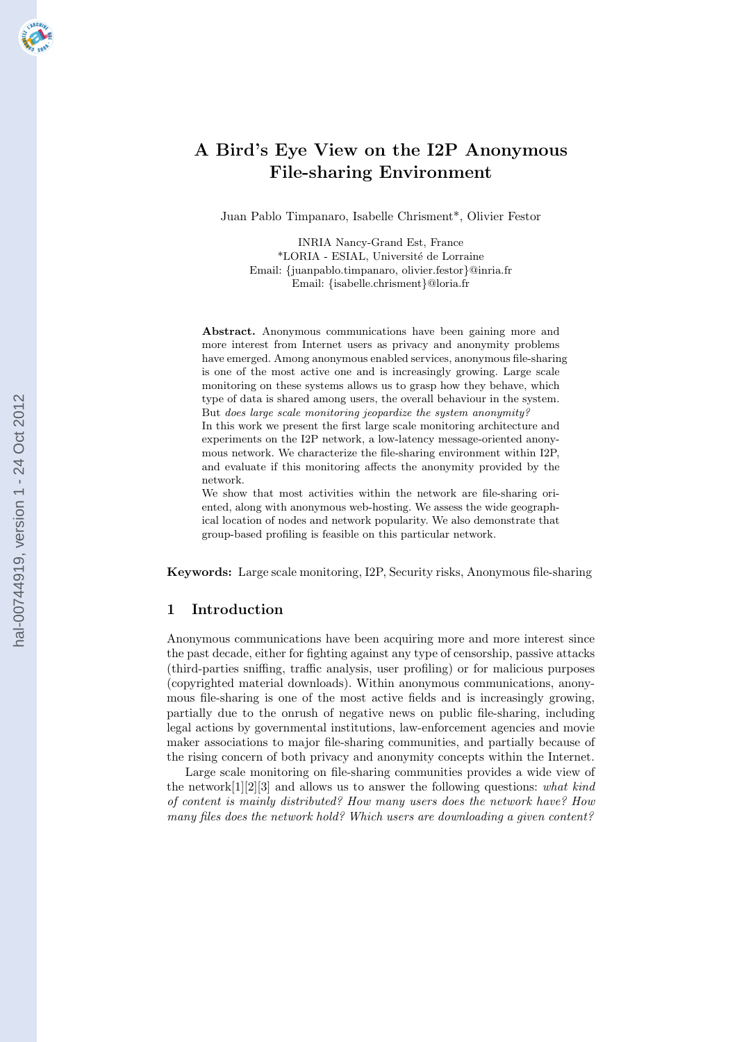# **A Bird's Eye View on the I2P Anonymous File-sharing Environment**

Juan Pablo Timpanaro, Isabelle Chrisment\*, Olivier Festor

INRIA Nancy-Grand Est, France \*LORIA - ESIAL, Universit´e de Lorraine Email: *{*juanpablo.timpanaro, olivier.festor*}*@inria.fr Email: *{*isabelle.chrisment*}*@loria.fr

**Abstract.** Anonymous communications have been gaining more and more interest from Internet users as privacy and anonymity problems have emerged. Among anonymous enabled services, anonymous file-sharing is one of the most active one and is increasingly growing. Large scale monitoring on these systems allows us to grasp how they behave, which type of data is shared among users, the overall behaviour in the system. But *does large scale monitoring jeopardize the system anonymity?* In this work we present the first large scale monitoring architecture and experiments on the I2P network, a low-latency message-oriented anonymous network. We characterize the file-sharing environment within I2P, and evaluate if this monitoring affects the anonymity provided by the network.

We show that most activities within the network are file-sharing oriented, along with anonymous web-hosting. We assess the wide geographical location of nodes and network popularity. We also demonstrate that group-based profiling is feasible on this particular network.

**Keywords:** Large scale monitoring, I2P, Security risks, Anonymous file-sharing

### **1 Introduction**

Anonymous communications have been acquiring more and more interest since the past decade, either for fighting against any type of censorship, passive attacks (third-parties sniffing, traffic analysis, user profiling) or for malicious purposes (copyrighted material downloads). Within anonymous communications, anonymous file-sharing is one of the most active fields and is increasingly growing, partially due to the onrush of negative news on public file-sharing, including legal actions by governmental institutions, law-enforcement agencies and movie maker associations to major file-sharing communities, and partially because of the rising concern of both privacy and anonymity concepts within the Internet.

Large scale monitoring on file-sharing communities provides a wide view of the network[1][2][3] and allows us to answer the following questions: *what kind of content is mainly distributed? How many users does the network have? How many files does the network hold? Which users are downloading a given content?*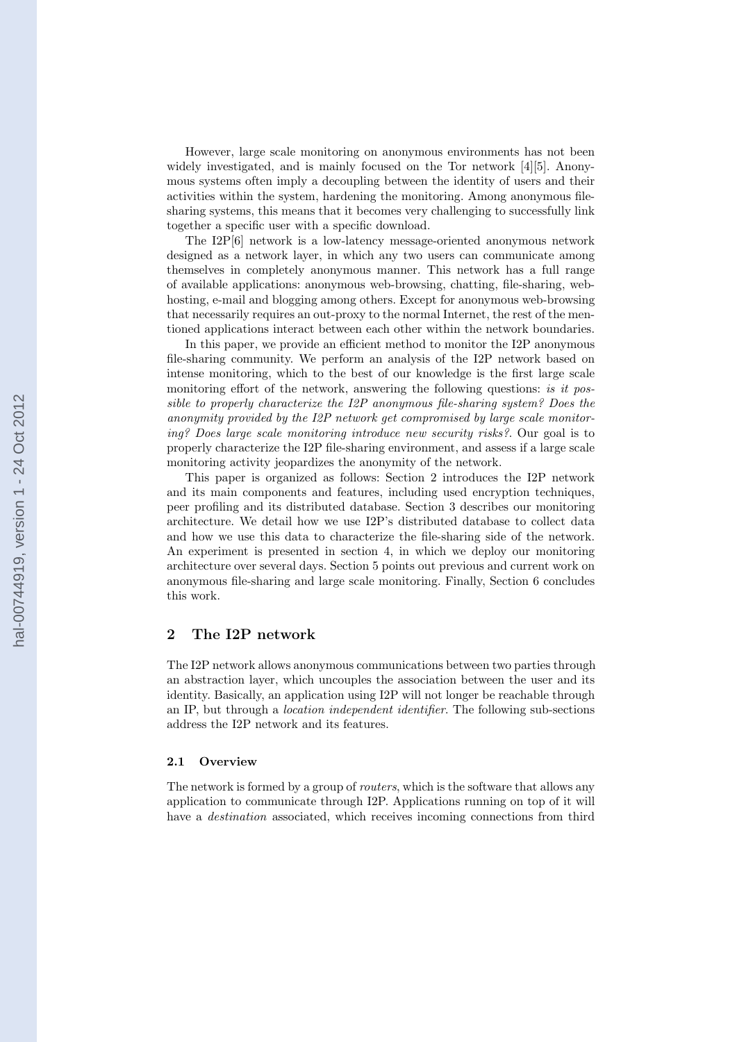However, large scale monitoring on anonymous environments has not been widely investigated, and is mainly focused on the Tor network [4][5]. Anonymous systems often imply a decoupling between the identity of users and their activities within the system, hardening the monitoring. Among anonymous filesharing systems, this means that it becomes very challenging to successfully link together a specific user with a specific download.

The I2P[6] network is a low-latency message-oriented anonymous network designed as a network layer, in which any two users can communicate among themselves in completely anonymous manner. This network has a full range of available applications: anonymous web-browsing, chatting, file-sharing, webhosting, e-mail and blogging among others. Except for anonymous web-browsing that necessarily requires an out-proxy to the normal Internet, the rest of the mentioned applications interact between each other within the network boundaries.

In this paper, we provide an efficient method to monitor the I2P anonymous file-sharing community. We perform an analysis of the I2P network based on intense monitoring, which to the best of our knowledge is the first large scale monitoring effort of the network, answering the following questions: *is it possible to properly characterize the I2P anonymous file-sharing system? Does the anonymity provided by the I2P network get compromised by large scale monitoring? Does large scale monitoring introduce new security risks?*. Our goal is to properly characterize the I2P file-sharing environment, and assess if a large scale monitoring activity jeopardizes the anonymity of the network.

This paper is organized as follows: Section 2 introduces the I2P network and its main components and features, including used encryption techniques, peer profiling and its distributed database. Section 3 describes our monitoring architecture. We detail how we use I2P's distributed database to collect data and how we use this data to characterize the file-sharing side of the network. An experiment is presented in section 4, in which we deploy our monitoring architecture over several days. Section 5 points out previous and current work on anonymous file-sharing and large scale monitoring. Finally, Section 6 concludes this work.

## **2 The I2P network**

The I2P network allows anonymous communications between two parties through an abstraction layer, which uncouples the association between the user and its identity. Basically, an application using I2P will not longer be reachable through an IP, but through a *location independent identifier*. The following sub-sections address the I2P network and its features.

### **2.1 Overview**

The network is formed by a group of *routers*, which is the software that allows any application to communicate through I2P. Applications running on top of it will have a *destination* associated, which receives incoming connections from third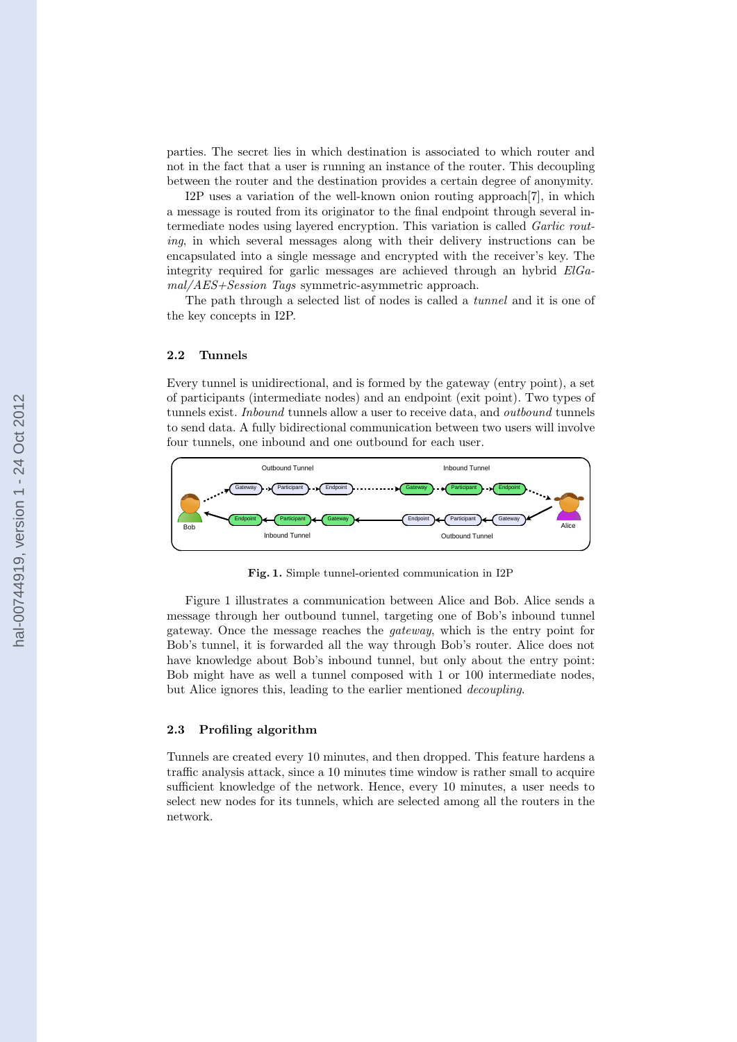parties. The secret lies in which destination is associated to which router and not in the fact that a user is running an instance of the router. This decoupling between the router and the destination provides a certain degree of anonymity.

I2P uses a variation of the well-known onion routing approach[7], in which a message is routed from its originator to the final endpoint through several intermediate nodes using layered encryption. This variation is called *Garlic routing*, in which several messages along with their delivery instructions can be encapsulated into a single message and encrypted with the receiver's key. The integrity required for garlic messages are achieved through an hybrid *ElGamal/AES+Session Tags* symmetric-asymmetric approach.

The path through a selected list of nodes is called a *tunnel* and it is one of the key concepts in I2P.

#### **2.2 Tunnels**

Every tunnel is unidirectional, and is formed by the gateway (entry point), a set of participants (intermediate nodes) and an endpoint (exit point). Two types of tunnels exist. *Inbound* tunnels allow a user to receive data, and *outbound* tunnels to send data. A fully bidirectional communication between two users will involve four tunnels, one inbound and one outbound for each user.



**Fig. 1.** Simple tunnel-oriented communication in I2P

Figure 1 illustrates a communication between Alice and Bob. Alice sends a message through her outbound tunnel, targeting one of Bob's inbound tunnel gateway. Once the message reaches the *gateway*, which is the entry point for Bob's tunnel, it is forwarded all the way through Bob's router. Alice does not have knowledge about Bob's inbound tunnel, but only about the entry point: Bob might have as well a tunnel composed with 1 or 100 intermediate nodes, but Alice ignores this, leading to the earlier mentioned *decoupling*.

#### **2.3 Profiling algorithm**

Tunnels are created every 10 minutes, and then dropped. This feature hardens a traffic analysis attack, since a 10 minutes time window is rather small to acquire sufficient knowledge of the network. Hence, every 10 minutes, a user needs to select new nodes for its tunnels, which are selected among all the routers in the network.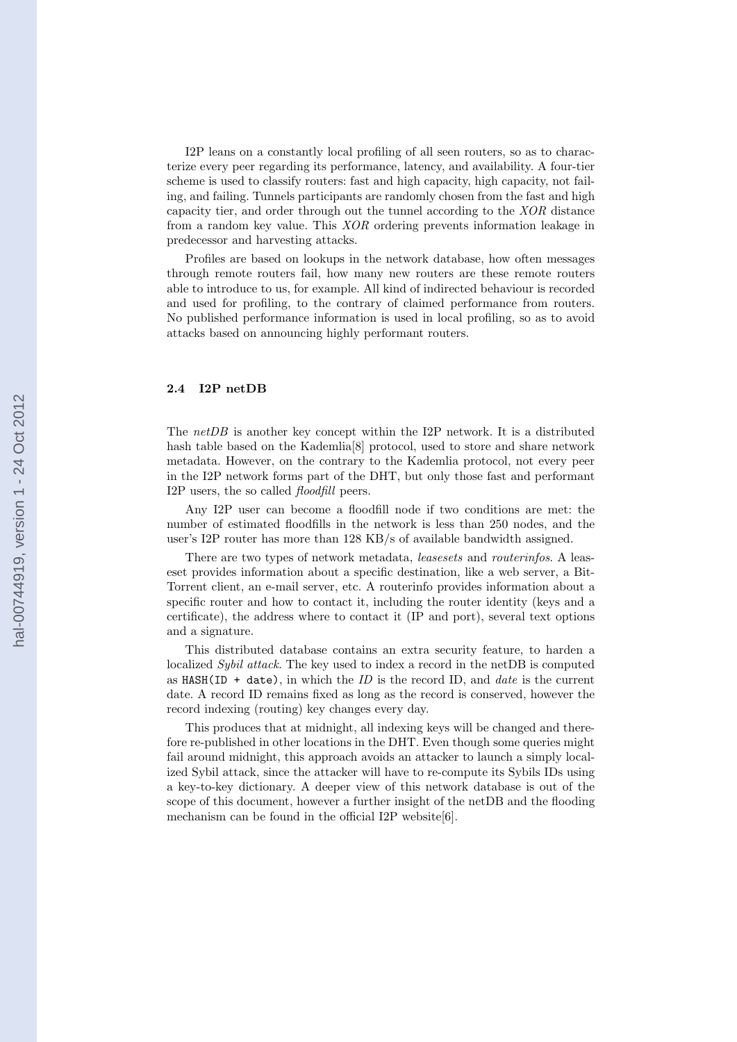I2P leans on a constantly local profiling of all seen routers, so as to characterize every peer regarding its performance, latency, and availability. A four-tier scheme is used to classify routers: fast and high capacity, high capacity, not failing, and failing. Tunnels participants are randomly chosen from the fast and high capacity tier, and order through out the tunnel according to the *XOR* distance from a random key value. This *XOR* ordering prevents information leakage in predecessor and harvesting attacks.

Profiles are based on lookups in the network database, how often messages through remote routers fail, how many new routers are these remote routers able to introduce to us, for example. All kind of indirected behaviour is recorded and used for profiling, to the contrary of claimed performance from routers. No published performance information is used in local profiling, so as to avoid attacks based on announcing highly performant routers.

#### **2.4 I2P netDB**

The *netDB* is another key concept within the I2P network. It is a distributed hash table based on the Kademlia<sup>[8]</sup> protocol, used to store and share network metadata. However, on the contrary to the Kademlia protocol, not every peer in the I2P network forms part of the DHT, but only those fast and performant I2P users, the so called *floodfill* peers.

Any I2P user can become a floodfill node if two conditions are met: the number of estimated floodfills in the network is less than 250 nodes, and the user's I2P router has more than 128 KB/s of available bandwidth assigned.

There are two types of network metadata, *leasesets* and *routerinfos*. A leaseset provides information about a specific destination, like a web server, a Bit-Torrent client, an e-mail server, etc. A routerinfo provides information about a specific router and how to contact it, including the router identity (keys and a certificate), the address where to contact it (IP and port), several text options and a signature.

This distributed database contains an extra security feature, to harden a localized *Sybil attack*. The key used to index a record in the netDB is computed as HASH(ID + date), in which the *ID* is the record ID, and *date* is the current date. A record ID remains fixed as long as the record is conserved, however the record indexing (routing) key changes every day.

This produces that at midnight, all indexing keys will be changed and therefore re-published in other locations in the DHT. Even though some queries might fail around midnight, this approach avoids an attacker to launch a simply localized Sybil attack, since the attacker will have to re-compute its Sybils IDs using a key-to-key dictionary. A deeper view of this network database is out of the scope of this document, however a further insight of the netDB and the flooding mechanism can be found in the official I2P website[6].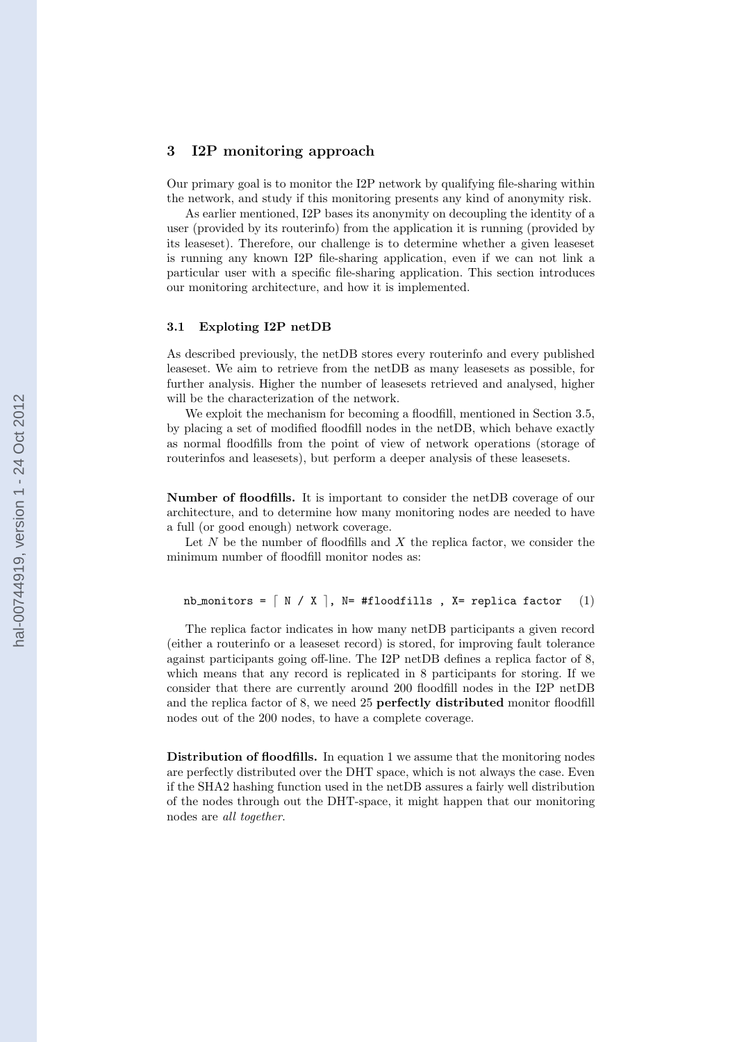# **3 I2P monitoring approach**

Our primary goal is to monitor the I2P network by qualifying file-sharing within the network, and study if this monitoring presents any kind of anonymity risk.

As earlier mentioned, I2P bases its anonymity on decoupling the identity of a user (provided by its routerinfo) from the application it is running (provided by its leaseset). Therefore, our challenge is to determine whether a given leaseset is running any known I2P file-sharing application, even if we can not link a particular user with a specific file-sharing application. This section introduces our monitoring architecture, and how it is implemented.

### **3.1 Exploting I2P netDB**

As described previously, the netDB stores every routerinfo and every published leaseset. We aim to retrieve from the netDB as many leasesets as possible, for further analysis. Higher the number of leasesets retrieved and analysed, higher will be the characterization of the network.

We exploit the mechanism for becoming a floodfill, mentioned in Section 3.5, by placing a set of modified floodfill nodes in the netDB, which behave exactly as normal floodfills from the point of view of network operations (storage of routerinfos and leasesets), but perform a deeper analysis of these leasesets.

**Number of floodfills.** It is important to consider the netDB coverage of our architecture, and to determine how many monitoring nodes are needed to have a full (or good enough) network coverage.

Let *N* be the number of floodfills and *X* the replica factor, we consider the minimum number of floodfill monitor nodes as:

```
nb monitors = \begin{bmatrix} N / X \end{bmatrix}, N= #floodfills, X= replica factor (1)
```
The replica factor indicates in how many netDB participants a given record (either a routerinfo or a leaseset record) is stored, for improving fault tolerance against participants going off-line. The I2P netDB defines a replica factor of 8, which means that any record is replicated in 8 participants for storing. If we consider that there are currently around 200 floodfill nodes in the I2P netDB and the replica factor of 8, we need 25 **perfectly distributed** monitor floodfill nodes out of the 200 nodes, to have a complete coverage.

**Distribution of floodfills.** In equation 1 we assume that the monitoring nodes are perfectly distributed over the DHT space, which is not always the case. Even if the SHA2 hashing function used in the netDB assures a fairly well distribution of the nodes through out the DHT-space, it might happen that our monitoring nodes are *all together*.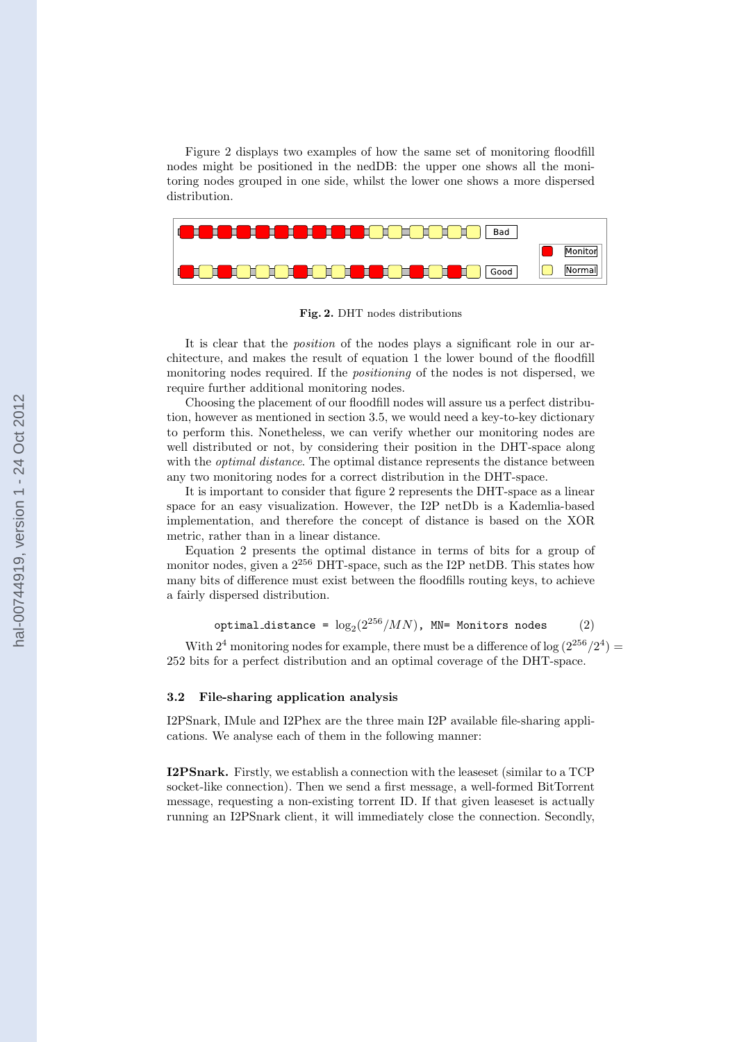Figure 2 displays two examples of how the same set of monitoring floodfill nodes might be positioned in the nedDB: the upper one shows all the monitoring nodes grouped in one side, whilst the lower one shows a more dispersed distribution.



**Fig. 2.** DHT nodes distributions

It is clear that the *position* of the nodes plays a significant role in our architecture, and makes the result of equation 1 the lower bound of the floodfill monitoring nodes required. If the *positioning* of the nodes is not dispersed, we require further additional monitoring nodes.

Choosing the placement of our floodfill nodes will assure us a perfect distribution, however as mentioned in section 3.5, we would need a key-to-key dictionary to perform this. Nonetheless, we can verify whether our monitoring nodes are well distributed or not, by considering their position in the DHT-space along with the *optimal distance*. The optimal distance represents the distance between any two monitoring nodes for a correct distribution in the DHT-space.

It is important to consider that figure 2 represents the DHT-space as a linear space for an easy visualization. However, the I2P netDb is a Kademlia-based implementation, and therefore the concept of distance is based on the XOR metric, rather than in a linear distance.

Equation 2 presents the optimal distance in terms of bits for a group of monitor nodes, given a  $2^{256}$  DHT-space, such as the I2P netDB. This states how many bits of difference must exist between the floodfills routing keys, to achieve a fairly dispersed distribution.

$$
\verb+optimal_distance = \log_2(2^{256}/MN), \textbf{MN} = \texttt{Monitors nodes} \qquad (2)
$$

With  $2^4$  monitoring nodes for example, there must be a difference of  $\log (2^{256}/2^4)$ 252 bits for a perfect distribution and an optimal coverage of the DHT-space.

### **3.2 File-sharing application analysis**

I2PSnark, IMule and I2Phex are the three main I2P available file-sharing applications. We analyse each of them in the following manner:

**I2PSnark.** Firstly, we establish a connection with the leaseset (similar to a TCP socket-like connection). Then we send a first message, a well-formed BitTorrent message, requesting a non-existing torrent ID. If that given leaseset is actually running an I2PSnark client, it will immediately close the connection. Secondly,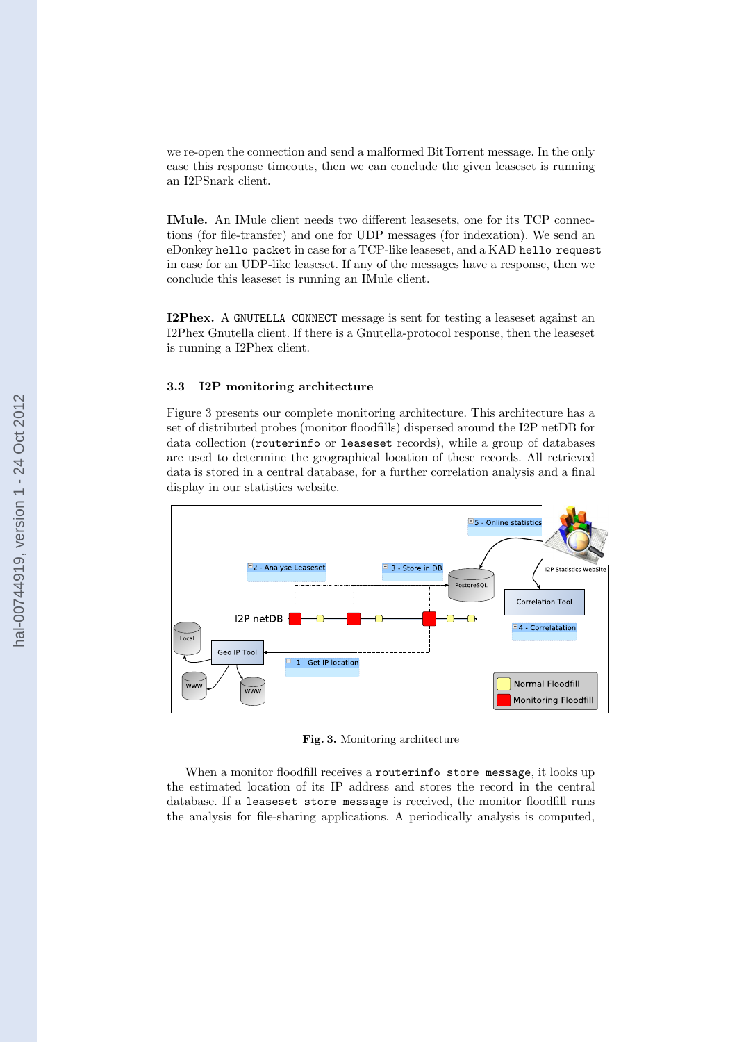we re-open the connection and send a malformed BitTorrent message. In the only case this response timeouts, then we can conclude the given leaseset is running an I2PSnark client.

**IMule.** An IMule client needs two different leasesets, one for its TCP connections (for file-transfer) and one for UDP messages (for indexation). We send an eDonkey hello packet in case for a TCP-like leaseset, and a KAD hello request in case for an UDP-like leaseset. If any of the messages have a response, then we conclude this leaseset is running an IMule client.

**I2Phex.** A GNUTELLA CONNECT message is sent for testing a leaseset against an I2Phex Gnutella client. If there is a Gnutella-protocol response, then the leaseset is running a I2Phex client.

### **3.3 I2P monitoring architecture**

Figure 3 presents our complete monitoring architecture. This architecture has a set of distributed probes (monitor floodfills) dispersed around the I2P netDB for data collection (routerinfo or leaseset records), while a group of databases are used to determine the geographical location of these records. All retrieved data is stored in a central database, for a further correlation analysis and a final display in our statistics website.



**Fig. 3.** Monitoring architecture

When a monitor floodfill receives a routerinfo store message, it looks up the estimated location of its IP address and stores the record in the central database. If a leaseset store message is received, the monitor floodfill runs the analysis for file-sharing applications. A periodically analysis is computed,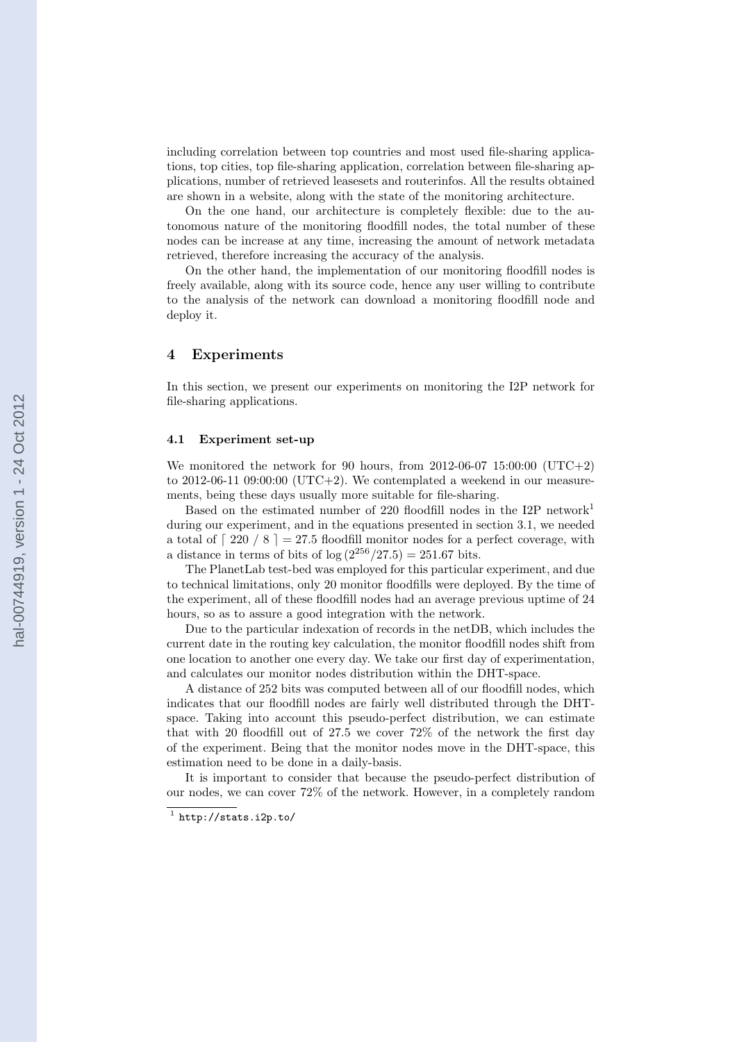including correlation between top countries and most used file-sharing applications, top cities, top file-sharing application, correlation between file-sharing applications, number of retrieved leasesets and routerinfos. All the results obtained are shown in a website, along with the state of the monitoring architecture.

On the one hand, our architecture is completely flexible: due to the autonomous nature of the monitoring floodfill nodes, the total number of these nodes can be increase at any time, increasing the amount of network metadata retrieved, therefore increasing the accuracy of the analysis.

On the other hand, the implementation of our monitoring floodfill nodes is freely available, along with its source code, hence any user willing to contribute to the analysis of the network can download a monitoring floodfill node and deploy it.

### **4 Experiments**

In this section, we present our experiments on monitoring the I2P network for file-sharing applications.

### **4.1 Experiment set-up**

We monitored the network for 90 hours, from  $2012-06-07$  15:00:00 (UTC+2) to 2012-06-11 09:00:00 (UTC+2). We contemplated a weekend in our measurements, being these days usually more suitable for file-sharing.

Based on the estimated number of 220 floodfill nodes in the I2P network<sup>1</sup> during our experiment, and in the equations presented in section 3.1, we needed a total of  $\lceil 220 / 8 \rceil = 27.5$  floodfill monitor nodes for a perfect coverage, with a distance in terms of bits of  $log(2^{256}/27.5) = 251.67$  bits.

The PlanetLab test-bed was employed for this particular experiment, and due to technical limitations, only 20 monitor floodfills were deployed. By the time of the experiment, all of these floodfill nodes had an average previous uptime of 24 hours, so as to assure a good integration with the network.

Due to the particular indexation of records in the netDB, which includes the current date in the routing key calculation, the monitor floodfill nodes shift from one location to another one every day. We take our first day of experimentation, and calculates our monitor nodes distribution within the DHT-space.

A distance of 252 bits was computed between all of our floodfill nodes, which indicates that our floodfill nodes are fairly well distributed through the DHTspace. Taking into account this pseudo-perfect distribution, we can estimate that with 20 floodfill out of 27.5 we cover 72% of the network the first day of the experiment. Being that the monitor nodes move in the DHT-space, this estimation need to be done in a daily-basis.

It is important to consider that because the pseudo-perfect distribution of our nodes, we can cover 72% of the network. However, in a completely random

 $^1$  http://stats.i2p.to/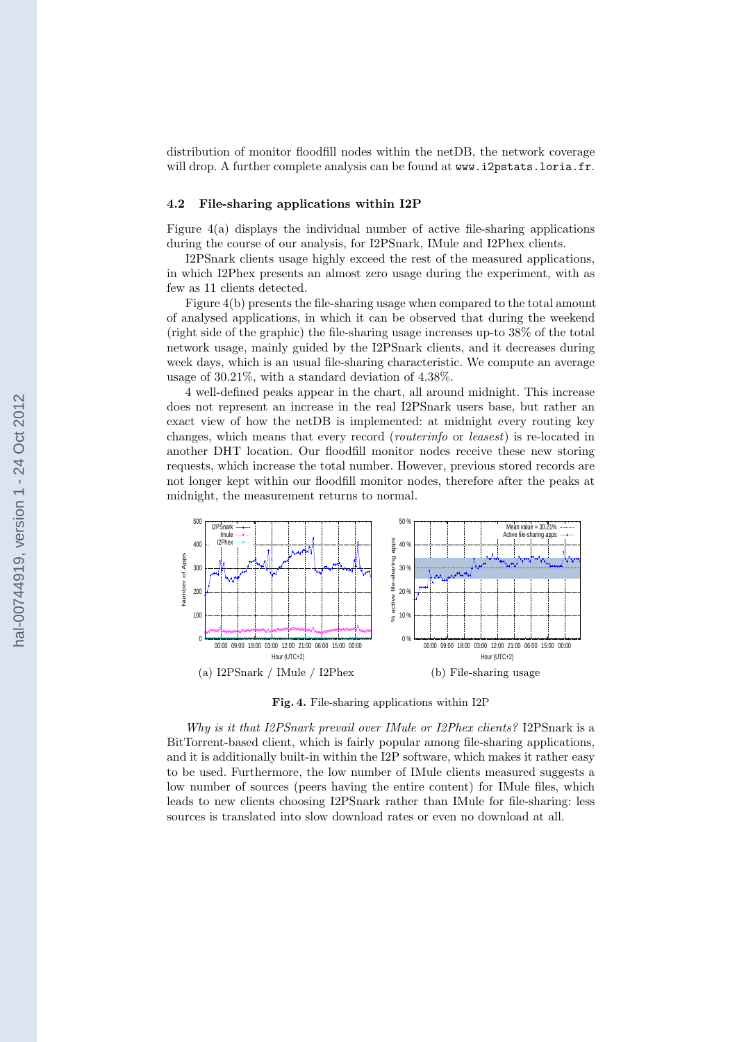distribution of monitor floodfill nodes within the netDB, the network coverage will drop. A further complete analysis can be found at www.i2pstats.loria.fr.

#### **4.2 File-sharing applications within I2P**

Figure  $4(a)$  displays the individual number of active file-sharing applications during the course of our analysis, for I2PSnark, IMule and I2Phex clients.

I2PSnark clients usage highly exceed the rest of the measured applications, in which I2Phex presents an almost zero usage during the experiment, with as few as 11 clients detected.

Figure 4(b) presents the file-sharing usage when compared to the total amount of analysed applications, in which it can be observed that during the weekend (right side of the graphic) the file-sharing usage increases up-to 38% of the total network usage, mainly guided by the I2PSnark clients, and it decreases during week days, which is an usual file-sharing characteristic. We compute an average usage of 30.21%, with a standard deviation of 4.38%.

4 well-defined peaks appear in the chart, all around midnight. This increase does not represent an increase in the real I2PSnark users base, but rather an exact view of how the netDB is implemented: at midnight every routing key changes, which means that every record (*routerinfo* or *leasest*) is re-located in another DHT location. Our floodfill monitor nodes receive these new storing requests, which increase the total number. However, previous stored records are not longer kept within our floodfill monitor nodes, therefore after the peaks at midnight, the measurement returns to normal.



**Fig. 4.** File-sharing applications within I2P

*Why is it that I2PSnark prevail over IMule or I2Phex clients?* I2PSnark is a BitTorrent-based client, which is fairly popular among file-sharing applications, and it is additionally built-in within the I2P software, which makes it rather easy to be used. Furthermore, the low number of IMule clients measured suggests a low number of sources (peers having the entire content) for IMule files, which leads to new clients choosing I2PSnark rather than IMule for file-sharing: less sources is translated into slow download rates or even no download at all.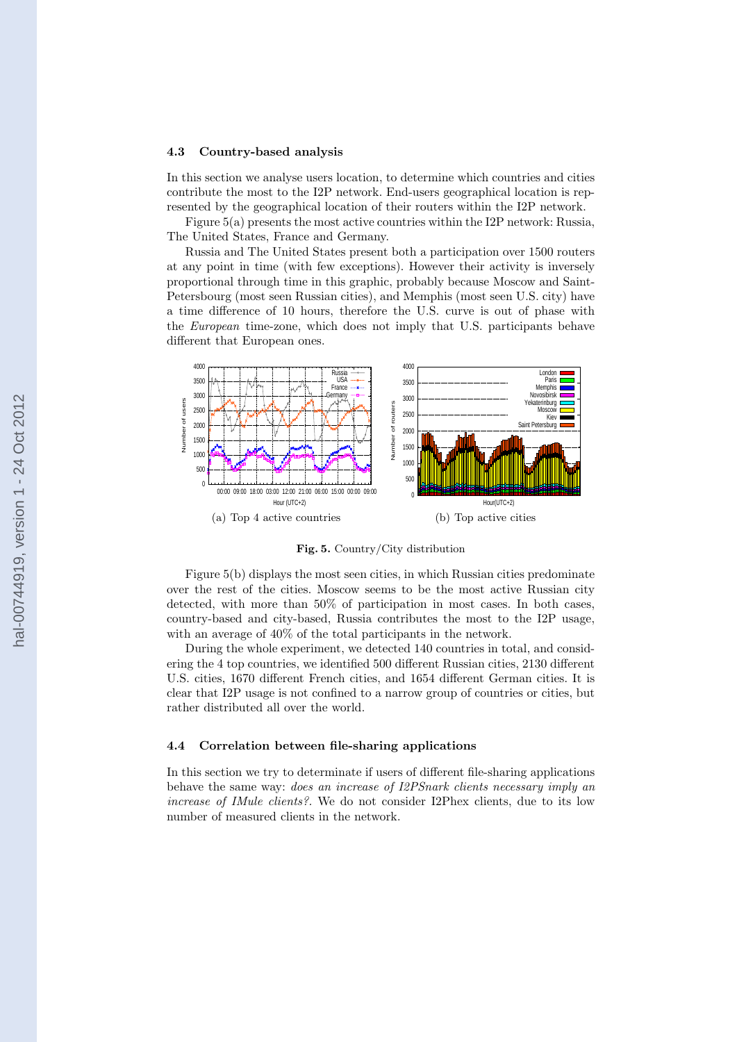#### **4.3 Country-based analysis**

In this section we analyse users location, to determine which countries and cities contribute the most to the I2P network. End-users geographical location is represented by the geographical location of their routers within the I2P network.

Figure 5(a) presents the most active countries within the I2P network: Russia, The United States, France and Germany.

Russia and The United States present both a participation over 1500 routers at any point in time (with few exceptions). However their activity is inversely proportional through time in this graphic, probably because Moscow and Saint-Petersbourg (most seen Russian cities), and Memphis (most seen U.S. city) have a time difference of 10 hours, therefore the U.S. curve is out of phase with the *European* time-zone, which does not imply that U.S. participants behave different that European ones.



**Fig. 5.** Country/City distribution

Figure 5(b) displays the most seen cities, in which Russian cities predominate over the rest of the cities. Moscow seems to be the most active Russian city detected, with more than 50% of participation in most cases. In both cases, country-based and city-based, Russia contributes the most to the I2P usage, with an average of 40% of the total participants in the network.

During the whole experiment, we detected 140 countries in total, and considering the 4 top countries, we identified 500 different Russian cities, 2130 different U.S. cities, 1670 different French cities, and 1654 different German cities. It is clear that I2P usage is not confined to a narrow group of countries or cities, but rather distributed all over the world.

#### **4.4 Correlation between file-sharing applications**

In this section we try to determinate if users of different file-sharing applications behave the same way: *does an increase of I2PSnark clients necessary imply an increase of IMule clients?.* We do not consider I2Phex clients, due to its low number of measured clients in the network.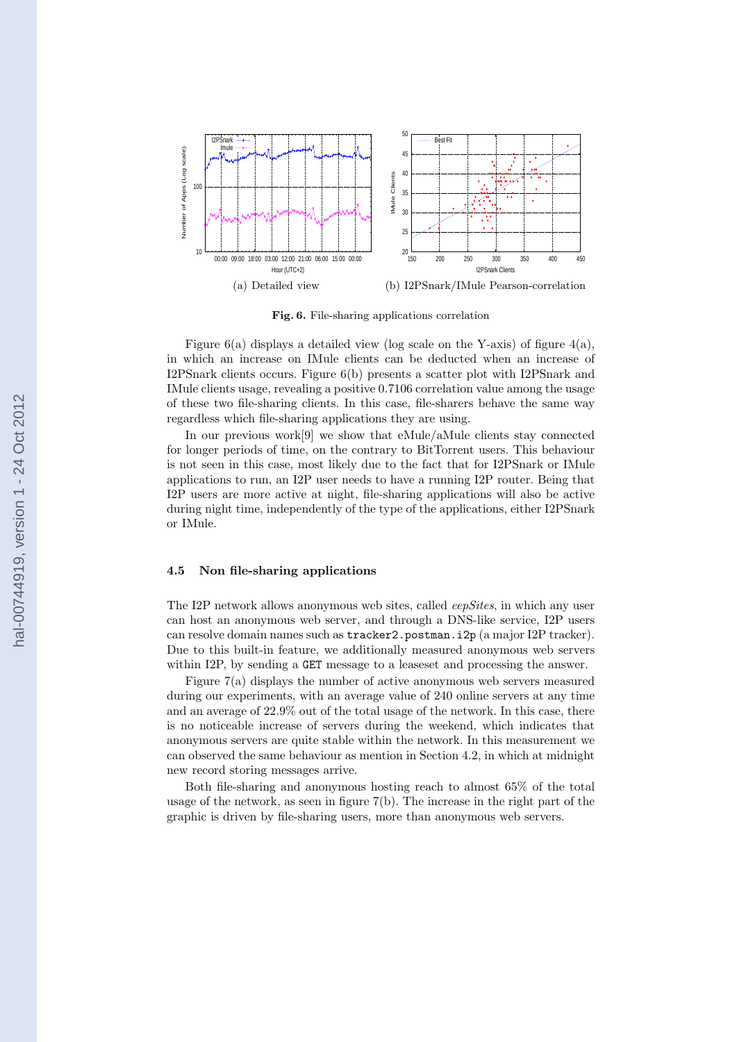

**Fig. 6.** File-sharing applications correlation

Figure  $6(a)$  displays a detailed view (log scale on the Y-axis) of figure  $4(a)$ , in which an increase on IMule clients can be deducted when an increase of I2PSnark clients occurs. Figure 6(b) presents a scatter plot with I2PSnark and IMule clients usage, revealing a positive 0.7106 correlation value among the usage of these two file-sharing clients. In this case, file-sharers behave the same way regardless which file-sharing applications they are using.

In our previous work[9] we show that eMule/aMule clients stay connected for longer periods of time, on the contrary to BitTorrent users. This behaviour is not seen in this case, most likely due to the fact that for I2PSnark or IMule applications to run, an I2P user needs to have a running I2P router. Being that I2P users are more active at night, file-sharing applications will also be active during night time, independently of the type of the applications, either I2PSnark or IMule.

#### **4.5 Non file-sharing applications**

The I2P network allows anonymous web sites, called *eepSites*, in which any user can host an anonymous web server, and through a DNS-like service, I2P users can resolve domain names such as tracker2.postman.i2p (a major I2P tracker). Due to this built-in feature, we additionally measured anonymous web servers within I2P, by sending a GET message to a leaseset and processing the answer.

Figure 7(a) displays the number of active anonymous web servers measured during our experiments, with an average value of 240 online servers at any time and an average of 22.9% out of the total usage of the network. In this case, there is no noticeable increase of servers during the weekend, which indicates that anonymous servers are quite stable within the network. In this measurement we can observed the same behaviour as mention in Section 4.2, in which at midnight new record storing messages arrive.

Both file-sharing and anonymous hosting reach to almost 65% of the total usage of the network, as seen in figure 7(b). The increase in the right part of the graphic is driven by file-sharing users, more than anonymous web servers.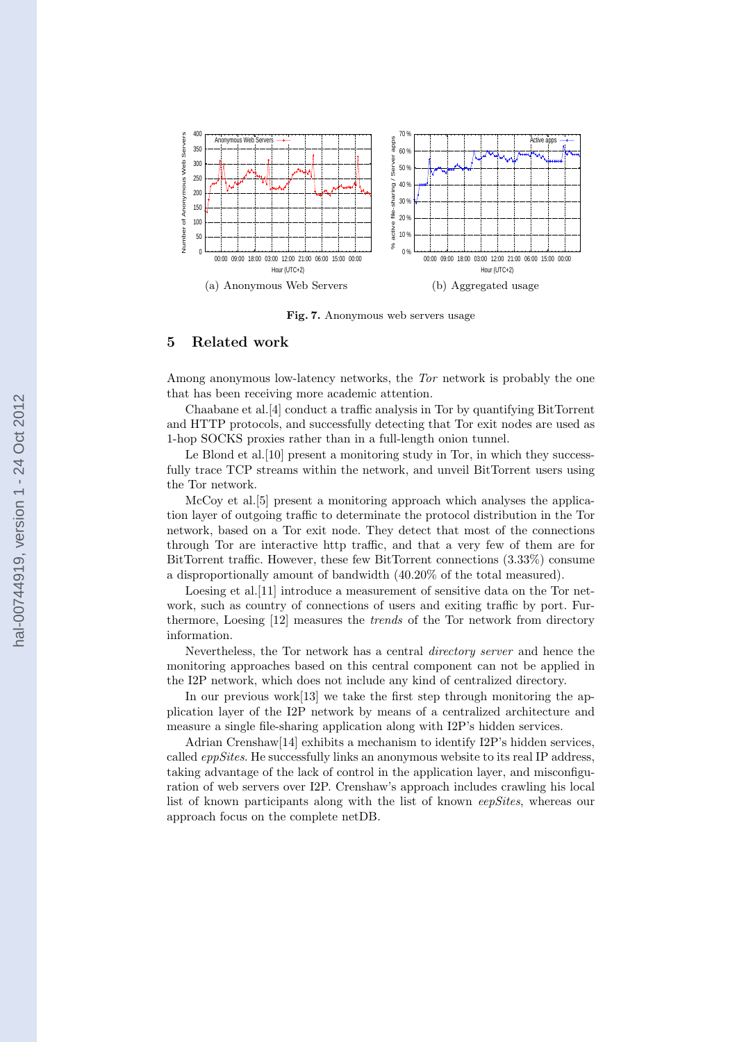

**Fig. 7.** Anonymous web servers usage

# **5 Related work**

Among anonymous low-latency networks, the *Tor* network is probably the one that has been receiving more academic attention.

Chaabane et al.[4] conduct a traffic analysis in Tor by quantifying BitTorrent and HTTP protocols, and successfully detecting that Tor exit nodes are used as 1-hop SOCKS proxies rather than in a full-length onion tunnel.

Le Blond et al.<sup>[10]</sup> present a monitoring study in Tor, in which they successfully trace TCP streams within the network, and unveil BitTorrent users using the Tor network.

McCoy et al.[5] present a monitoring approach which analyses the application layer of outgoing traffic to determinate the protocol distribution in the Tor network, based on a Tor exit node. They detect that most of the connections through Tor are interactive http traffic, and that a very few of them are for BitTorrent traffic. However, these few BitTorrent connections (3.33%) consume a disproportionally amount of bandwidth (40.20% of the total measured).

Loesing et al. [11] introduce a measurement of sensitive data on the Tor network, such as country of connections of users and exiting traffic by port. Furthermore, Loesing [12] measures the *trends* of the Tor network from directory information.

Nevertheless, the Tor network has a central *directory server* and hence the monitoring approaches based on this central component can not be applied in the I2P network, which does not include any kind of centralized directory.

In our previous work<sup>[13]</sup> we take the first step through monitoring the application layer of the I2P network by means of a centralized architecture and measure a single file-sharing application along with I2P's hidden services.

Adrian Crenshaw[14] exhibits a mechanism to identify I2P's hidden services, called *eppSites*. He successfully links an anonymous website to its real IP address, taking advantage of the lack of control in the application layer, and misconfiguration of web servers over I2P. Crenshaw's approach includes crawling his local list of known participants along with the list of known *eepSites*, whereas our approach focus on the complete netDB.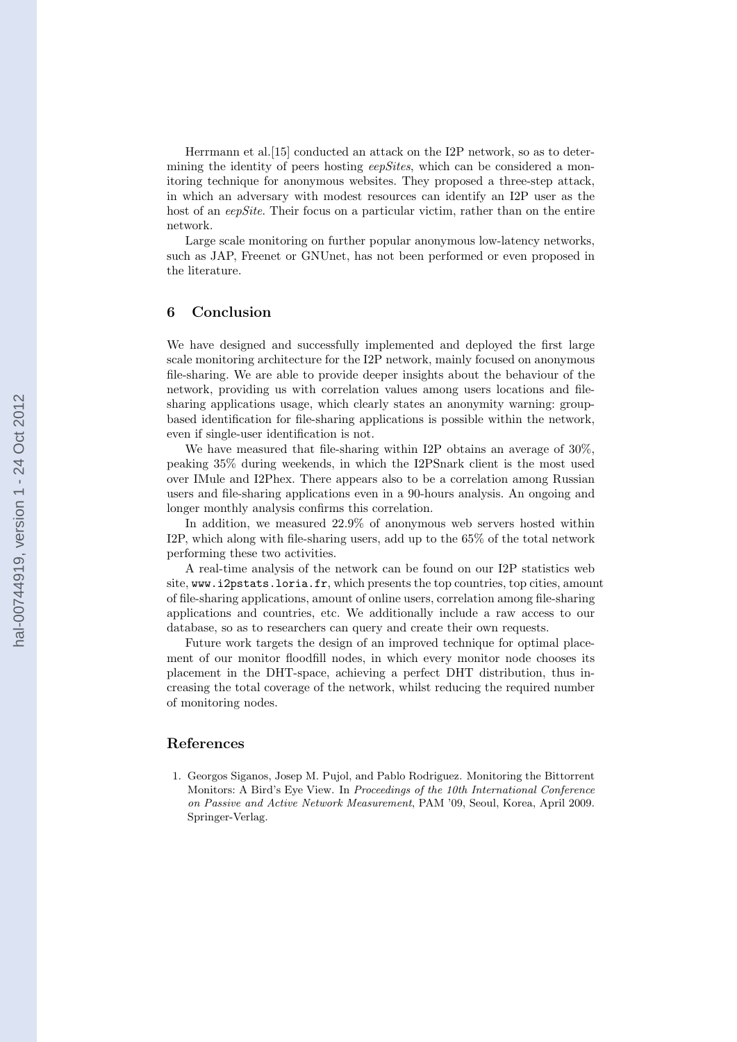Herrmann et al.[15] conducted an attack on the I2P network, so as to determining the identity of peers hosting *eepSites*, which can be considered a monitoring technique for anonymous websites. They proposed a three-step attack, in which an adversary with modest resources can identify an I2P user as the host of an *eepSite*. Their focus on a particular victim, rather than on the entire network.

Large scale monitoring on further popular anonymous low-latency networks, such as JAP, Freenet or GNUnet, has not been performed or even proposed in the literature.

### **6 Conclusion**

We have designed and successfully implemented and deployed the first large scale monitoring architecture for the I2P network, mainly focused on anonymous file-sharing. We are able to provide deeper insights about the behaviour of the network, providing us with correlation values among users locations and filesharing applications usage, which clearly states an anonymity warning: groupbased identification for file-sharing applications is possible within the network, even if single-user identification is not.

We have measured that file-sharing within I2P obtains an average of 30%, peaking 35% during weekends, in which the I2PSnark client is the most used over IMule and I2Phex. There appears also to be a correlation among Russian users and file-sharing applications even in a 90-hours analysis. An ongoing and longer monthly analysis confirms this correlation.

In addition, we measured 22.9% of anonymous web servers hosted within I2P, which along with file-sharing users, add up to the 65% of the total network performing these two activities.

A real-time analysis of the network can be found on our I2P statistics web site, www.i2pstats.loria.fr, which presents the top countries, top cities, amount of file-sharing applications, amount of online users, correlation among file-sharing applications and countries, etc. We additionally include a raw access to our database, so as to researchers can query and create their own requests.

Future work targets the design of an improved technique for optimal placement of our monitor floodfill nodes, in which every monitor node chooses its placement in the DHT-space, achieving a perfect DHT distribution, thus increasing the total coverage of the network, whilst reducing the required number of monitoring nodes.

### **References**

1. Georgos Siganos, Josep M. Pujol, and Pablo Rodriguez. Monitoring the Bittorrent Monitors: A Bird's Eye View. In *Proceedings of the 10th International Conference on Passive and Active Network Measurement*, PAM '09, Seoul, Korea, April 2009. Springer-Verlag.